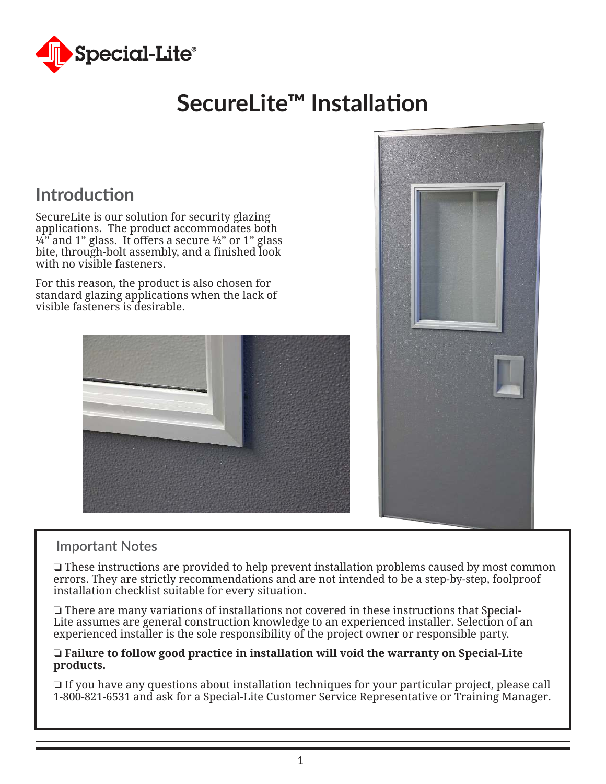

# **SecureLite™ Installation**

### **Introduction**

SecureLite is our solution for security glazing applications. The product accommodates both  $\frac{1}{4}$  and 1" glass. It offers a secure ½" or 1" glass bite, through-bolt assembly, and a finished look with no visible fasteners.

For this reason, the product is also chosen for standard glazing applications when the lack of visible fasteners is desirable.





#### **Important Notes**

 $\Box$  These instructions are provided to help prevent installation problems caused by most common errors. They are strictly recommendations and are not intended to be a step-by-step, foolproof installation checklist suitable for every situation.

 $\Box$  There are many variations of installations not covered in these instructions that Special-Lite assumes are general construction knowledge to an experienced installer. Selection of an experienced installer is the sole responsibility of the project owner or responsible party.

#### o **Failure to follow good practice in installation will void the warranty on Special-Lite products.**

 $\Box$  If you have any questions about installation techniques for your particular project, please call 1-800-821-6531 and ask for a Special-Lite Customer Service Representative or Training Manager.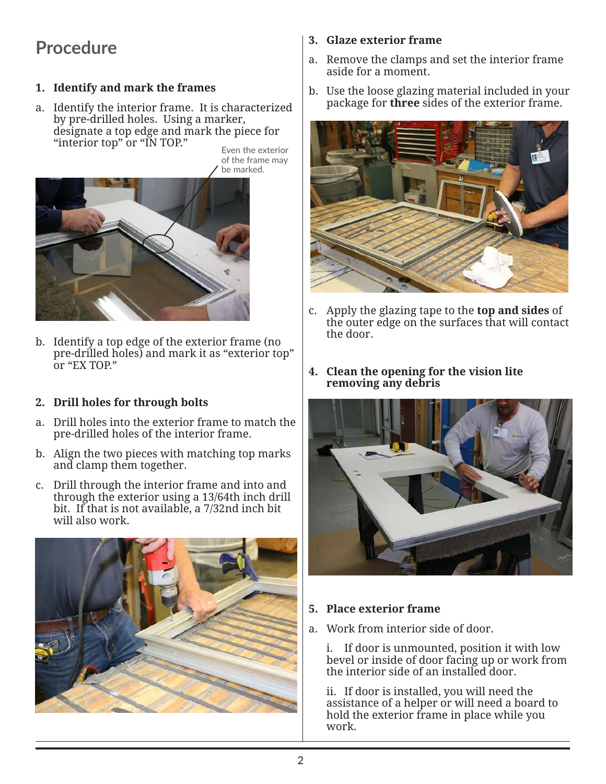## **Procedure**

#### **1. Identify and mark the frames**

a. Identify the interior frame. It is characterized by pre-drilled holes. Using a marker, designate a top edge and mark the piece for "interior top" or "IN TOP."

Even the exterior of the frame may be marked.



b. Identify a top edge of the exterior frame (no pre-drilled holes) and mark it as "exterior top" or "EX TOP."

#### **2. Drill holes for through bolts**

- a. Drill holes into the exterior frame to match the pre-drilled holes of the interior frame.
- b. Align the two pieces with matching top marks and clamp them together.
- c. Drill through the interior frame and into and through the exterior using a 13/64th inch drill bit. If that is not available, a 7/32nd inch bit will also work.



#### **3. Glaze exterior frame**

- a. Remove the clamps and set the interior frame aside for a moment.
- b. Use the loose glazing material included in your package for **three** sides of the exterior frame.



- c. Apply the glazing tape to the **top and sides** of the outer edge on the surfaces that will contact the door.
- **4. Clean the opening for the vision lite removing any debris**



#### **5. Place exterior frame**

a. Work from interior side of door.

 i. If door is unmounted, position it with low bevel or inside of door facing up or work from the interior side of an installed door.

 ii. If door is installed, you will need the assistance of a helper or will need a board to hold the exterior frame in place while you work.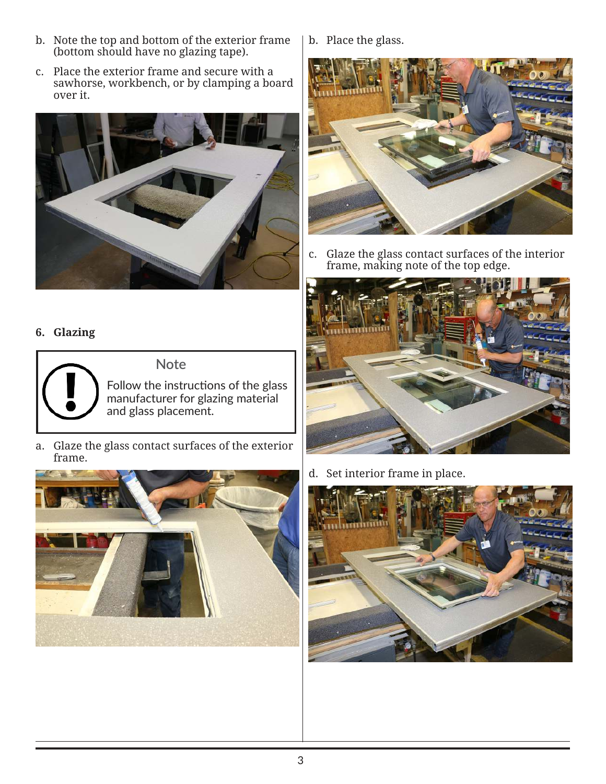- b. Note the top and bottom of the exterior frame (bottom should have no glazing tape).
- c. Place the exterior frame and secure with a sawhorse, workbench, or by clamping a board over it.



#### **6. Glazing**



**Note**

Follow the instructions of the glass manufacturer for glazing material and glass placement.

a. Glaze the glass contact surfaces of the exterior frame.



b. Place the glass.



c. Glaze the glass contact surfaces of the interior frame, making note of the top edge.



d. Set interior frame in place.